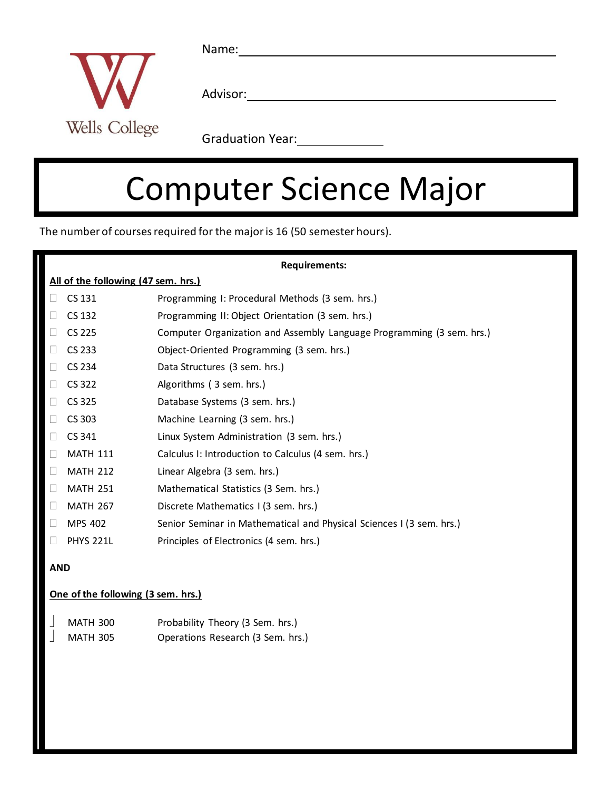

Name:

Advisor: Advisor: Advisor: Advisor: Advisor: Advisor: Advisor: Advisor: Advisor: Advisor: Advisor: Advisor: Advisor: Advisor: Advisor: Advisor: Advisor: Advisor: Advisor: Advisor: Advisor: Advisor: Advisor: Advisor: Adviso

Graduation Year:<br>
<u>Carlian Willemann Communication</u>

# Computer Science Major

The number of courses required for the major is 16 (50 semester hours).

| <b>Requirements:</b>                |                  |                                                                       |  |  |
|-------------------------------------|------------------|-----------------------------------------------------------------------|--|--|
| All of the following (47 sem. hrs.) |                  |                                                                       |  |  |
|                                     | CS 131           | Programming I: Procedural Methods (3 sem. hrs.)                       |  |  |
|                                     | CS 132           | Programming II: Object Orientation (3 sem. hrs.)                      |  |  |
|                                     | CS 225           | Computer Organization and Assembly Language Programming (3 sem. hrs.) |  |  |
|                                     | CS 233           | Object-Oriented Programming (3 sem. hrs.)                             |  |  |
|                                     | CS 234           | Data Structures (3 sem. hrs.)                                         |  |  |
|                                     | CS 322           | Algorithms (3 sem. hrs.)                                              |  |  |
|                                     | CS 325           | Database Systems (3 sem. hrs.)                                        |  |  |
| Ш                                   | CS 303           | Machine Learning (3 sem. hrs.)                                        |  |  |
| $\mathbf{L}$                        | CS 341           | Linux System Administration (3 sem. hrs.)                             |  |  |
|                                     | <b>MATH 111</b>  | Calculus I: Introduction to Calculus (4 sem. hrs.)                    |  |  |
| П                                   | <b>MATH 212</b>  | Linear Algebra (3 sem. hrs.)                                          |  |  |
| П                                   | <b>MATH 251</b>  | Mathematical Statistics (3 Sem. hrs.)                                 |  |  |
| $\Box$                              | <b>MATH 267</b>  | Discrete Mathematics I (3 sem. hrs.)                                  |  |  |
| $\Box$                              | MPS 402          | Senior Seminar in Mathematical and Physical Sciences I (3 sem. hrs.)  |  |  |
| П                                   | <b>PHYS 221L</b> | Principles of Electronics (4 sem. hrs.)                               |  |  |

#### **AND**

#### **One of the following (3 sem. hrs.)**

|  | <b>MATH 300</b> | Probability Theory (3 Sem. hrs.)  |
|--|-----------------|-----------------------------------|
|  | <b>MATH 305</b> | Operations Research (3 Sem. hrs.) |